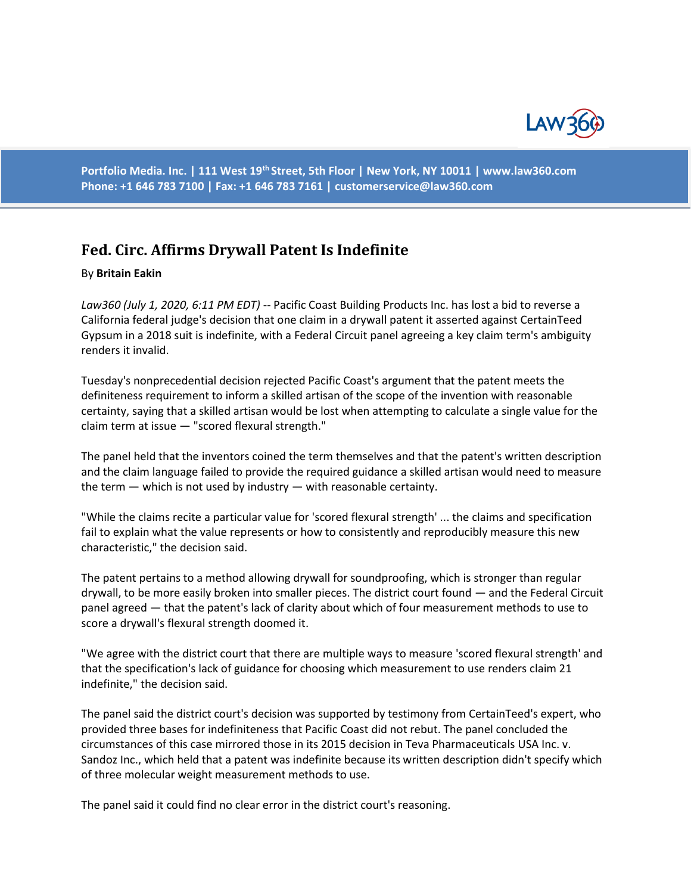

**Portfolio Media. Inc. | 111 West 19th Street, 5th Floor | New York, NY 10011 | www.law360.com Phone: +1 646 783 7100 | Fax: +1 646 783 7161 | customerservice@law360.com**

## **Fed. Circ. Affirms Drywall Patent Is Indefinite**

## By **Britain Eakin**

*Law360 (July 1, 2020, 6:11 PM EDT)* -- Pacific Coast Building Products Inc. has lost a bid to reverse a California federal judge's decision that one claim in a drywall patent it asserted against CertainTeed Gypsum in a 2018 suit is indefinite, with a Federal Circuit panel agreeing a key claim term's ambiguity renders it invalid.

Tuesday's nonprecedential decision rejected Pacific Coast's argument that the patent meets the definiteness requirement to inform a skilled artisan of the scope of the invention with reasonable certainty, saying that a skilled artisan would be lost when attempting to calculate a single value for the claim term at issue — "scored flexural strength."

The panel held that the inventors coined the term themselves and that the patent's written description and the claim language failed to provide the required guidance a skilled artisan would need to measure the term — which is not used by industry — with reasonable certainty.

"While the claims recite a particular value for 'scored flexural strength' ... the claims and specification fail to explain what the value represents or how to consistently and reproducibly measure this new characteristic," the decision said.

The patent pertains to a method allowing drywall for soundproofing, which is stronger than regular drywall, to be more easily broken into smaller pieces. The district court found — and the Federal Circuit panel agreed — that the patent's lack of clarity about which of four measurement methods to use to score a drywall's flexural strength doomed it.

"We agree with the district court that there are multiple ways to measure 'scored flexural strength' and that the specification's lack of guidance for choosing which measurement to use renders claim 21 indefinite," the decision said.

The panel said the district court's decision was supported by testimony from CertainTeed's expert, who provided three bases for indefiniteness that Pacific Coast did not rebut. The panel concluded the circumstances of this case mirrored those in its 2015 decision in Teva Pharmaceuticals USA Inc. v. Sandoz Inc., which held that a patent was indefinite because its written description didn't specify which of three molecular weight measurement methods to use.

The panel said it could find no clear error in the district court's reasoning.